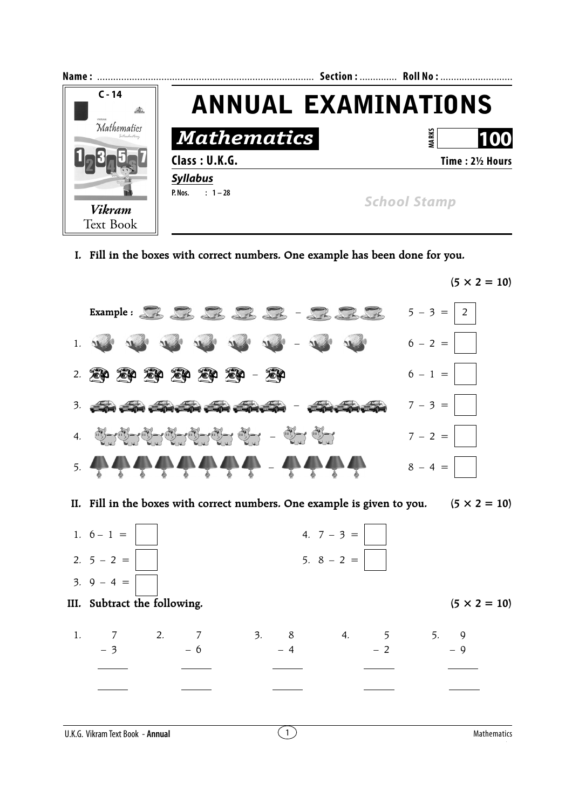

**I. Fill in the boxes with correct numbers. One example has been done for you.**